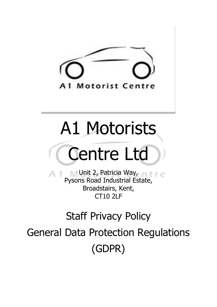

## A1 Motorists

# Centre Ltd

**Unit 2, Patricia Way, mtme** Pysons Road Industrial Estate, Broadstairs, Kent, CT10 2LF

### Staff Privacy Policy

General Data Protection Regulations (GDPR)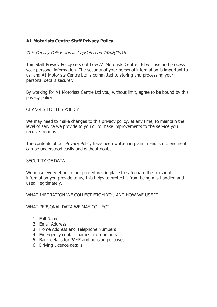### **A1 Motorists Centre Staff Privacy Policy**

#### This Privacy Policy was last updated on 15/06/2018

This Staff Privacy Policy sets out how A1 Motorists Centre Ltd will use and process your personal information. The security of your personal information is important to us, and A1 Motorists Centre Ltd is committed to storing and processing your personal details securely.

By working for A1 Motorists Centre Ltd you, without limit, agree to be bound by this privacy policy.

#### CHANGES TO THIS POLICY

We may need to make changes to this privacy policy, at any time, to maintain the level of service we provide to you or to make improvements to the service you receive from us.

The contents of our Privacy Policy have been written in plain in English to ensure it can be understood easily and without doubt.

#### SECURITY OF DATA

We make every effort to put procedures in place to safeguard the personal information you provide to us, this helps to protect it from being mis-handled and used illegitimately.

#### WHAT INFORATION WE COLLECT FROM YOU AND HOW WE USE IT

#### WHAT PERSONAL DATA WE MAY COLLECT:

- 1. Full Name
- 2. Email Address
- 3. Home Address and Telephone Numbers
- 4. Emergency contact names and numbers
- 5. Bank details for PAYE and pension purposes
- 6. Driving Licence details.